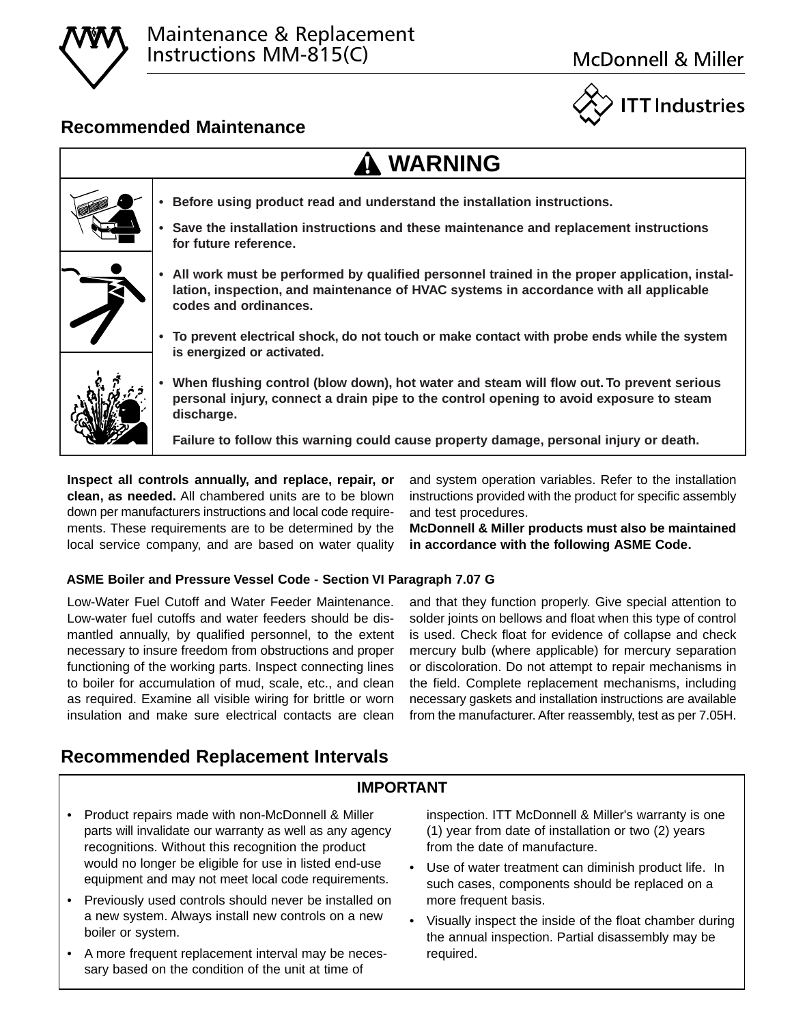



### **Recommended Maintenance**

# **! WARNING**



**Inspect all controls annually, and replace, repair, or clean, as needed.** All chambered units are to be blown down per manufacturers instructions and local code requirements. These requirements are to be determined by the local service company, and are based on water quality

and system operation variables. Refer to the installation instructions provided with the product for specific assembly and test procedures.

**McDonnell & Miller products must also be maintained in accordance with the following ASME Code.**

#### **ASME Boiler and Pressure Vessel Code - Section VI Paragraph 7.07 G**

Low-Water Fuel Cutoff and Water Feeder Maintenance. Low-water fuel cutoffs and water feeders should be dismantled annually, by qualified personnel, to the extent necessary to insure freedom from obstructions and proper functioning of the working parts. Inspect connecting lines to boiler for accumulation of mud, scale, etc., and clean as required. Examine all visible wiring for brittle or worn insulation and make sure electrical contacts are clean

and that they function properly. Give special attention to solder joints on bellows and float when this type of control is used. Check float for evidence of collapse and check mercury bulb (where applicable) for mercury separation or discoloration. Do not attempt to repair mechanisms in the field. Complete replacement mechanisms, including necessary gaskets and installation instructions are available from the manufacturer. After reassembly, test as per 7.05H.

## **Recommended Replacement Intervals**

#### **IMPORTANT**

- Product repairs made with non-McDonnell & Miller parts will invalidate our warranty as well as any agency recognitions. Without this recognition the product would no longer be eligible for use in listed end-use equipment and may not meet local code requirements.
- Previously used controls should never be installed on a new system. Always install new controls on a new boiler or system.
- A more frequent replacement interval may be necessary based on the condition of the unit at time of

inspection. ITT McDonnell & Miller's warranty is one (1) year from date of installation or two (2) years from the date of manufacture.

- Use of water treatment can diminish product life. In such cases, components should be replaced on a more frequent basis.
- Visually inspect the inside of the float chamber during the annual inspection. Partial disassembly may be required.